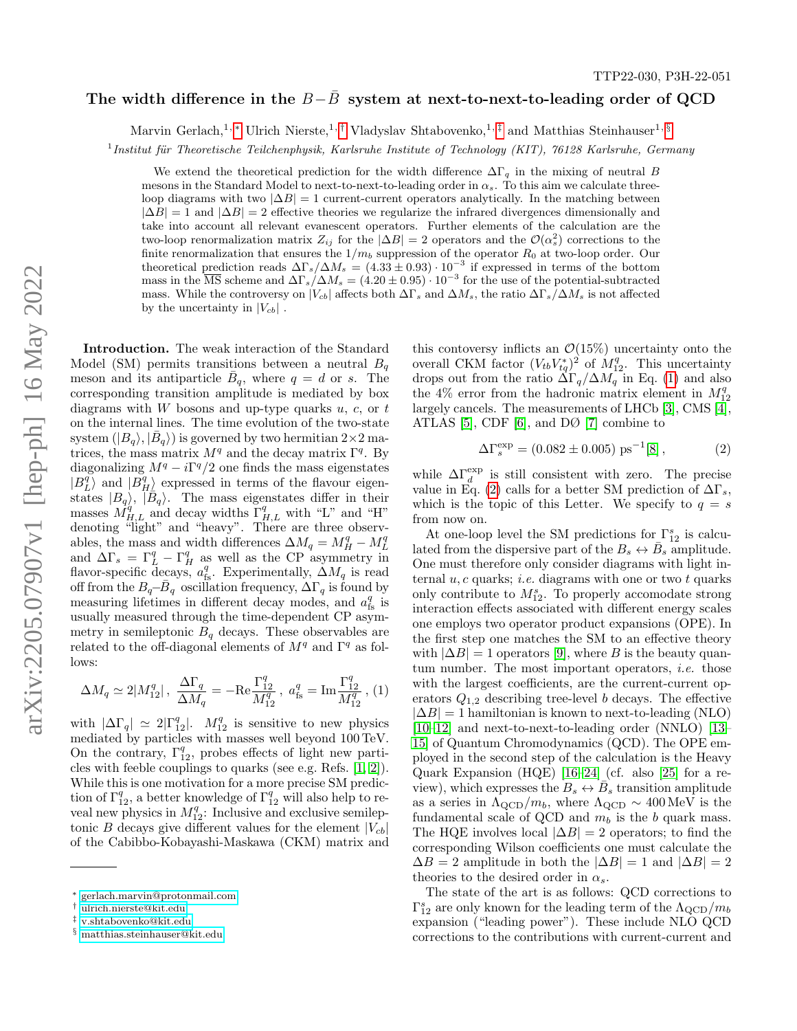## The width difference in the  $B-B$  system at next-to-next-to-leading order of QCD

Marvin Gerlach,<sup>1,\*</sup> Ulrich Nierste,<sup>1,[†](#page-0-1)</sup> Vladyslav Shtabovenko,<sup>1,[‡](#page-0-2)</sup> and Matthias Steinhauser<sup>1,[§](#page-0-3)</sup>

<sup>1</sup> Institut für Theoretische Teilchenphysik, Karlsruhe Institute of Technology (KIT), 76128 Karlsruhe, Germany

We extend the theoretical prediction for the width difference  $\Delta\Gamma_q$  in the mixing of neutral B mesons in the Standard Model to next-to-next-to-leading order in  $\alpha_s$ . To this aim we calculate threeloop diagrams with two  $|\Delta B| = 1$  current-current operators analytically. In the matching between  $|\Delta B| = 1$  and  $|\Delta B| = 2$  effective theories we regularize the infrared divergences dimensionally and take into account all relevant evanescent operators. Further elements of the calculation are the two-loop renormalization matrix  $Z_{ij}$  for the  $|\Delta B| = 2$  operators and the  $\mathcal{O}(\alpha_s^2)$  corrections to the finite renormalization that ensures the  $1/m_b$  suppression of the operator  $R_0$  at two-loop order. Our theoretical prediction reads  $\Delta\Gamma_s/\Delta M_s = (4.33 \pm 0.93) \cdot 10^{-3}$  if expressed in terms of the bottom mass in the  $\overline{\text{MS}}$  scheme and  $\Delta\Gamma_s/\Delta M_s = (4.20 \pm 0.95) \cdot 10^{-3}$  for the use of the potential-subtracted mass. While the controversy on  $|V_{cb}|$  affects both  $\Delta\Gamma_s$  and  $\Delta M_s$ , the ratio  $\Delta\Gamma_s/\Delta M_s$  is not affected by the uncertainty in  $|V_{cb}|$ .

Introduction. The weak interaction of the Standard Model (SM) permits transitions between a neutral  $B<sub>a</sub>$ meson and its antiparticle  $\bar{B}_q$ , where  $q = d$  or s. The corresponding transition amplitude is mediated by box diagrams with W bosons and up-type quarks  $u, c,$  or  $t$ on the internal lines. The time evolution of the two-state system  $(|B_q\rangle, |\bar{B}_q\rangle)$  is governed by two hermitian  $2 \times 2$  matrices, the mass matrix  $M<sup>q</sup>$  and the decay matrix  $\Gamma<sup>q</sup>$ . By diagonalizing  $M^q - i\Gamma^q/2$  one finds the mass eigenstates  $|B_L^q\rangle$  and  $|B_H^q\rangle$  expressed in terms of the flavour eigenstates  $|B_q\rangle$ ,  $|\overleftrightarrow{B_q}\rangle$ . The mass eigenstates differ in their masses  $M_{H,L}^{q}$  and decay widths  $\Gamma_{H,L}^{q}$  with "L" and "H" denoting "light" and "heavy". There are three observables, the mass and width differences  $\Delta M_q = M_H^q - M_L^q$ and  $\Delta\Gamma_s = \Gamma_L^q - \Gamma_H^q$  as well as the CP asymmetry in flavor-specific decays,  $a_{\text{fs}}^q$ . Experimentally,  $\Delta M_q$  is read off from the  $B_q - \bar{B}_q$  oscillation frequency,  $\Delta\Gamma_q$  is found by measuring lifetimes in different decay modes, and  $a_{\text{fs}}^q$  is usually measured through the time-dependent CP asymmetry in semileptonic  $B_q$  decays. These observables are related to the off-diagonal elements of  $M<sup>q</sup>$  and  $\Gamma<sup>q</sup>$  as follows:

<span id="page-0-4"></span>
$$
\Delta M_q \simeq 2|M_{12}^q| \, , \, \, \frac{\Delta \Gamma_q}{\Delta M_q} = -\text{Re} \frac{\Gamma_{12}^q}{M_{12}^q} \, , \, a_{\text{fs}}^q = \text{Im} \frac{\Gamma_{12}^q}{M_{12}^q} \, , \, (1)
$$

with  $|\Delta\Gamma_q| \simeq 2|\Gamma_{12}^q|$ .  $M_{12}^q$  is sensitive to new physics mediated by particles with masses well beyond 100 TeV. On the contrary,  $\Gamma_{12}^q$ , probes effects of light new particles with feeble couplings to quarks (see e.g. Refs. [\[1,](#page-4-0) [2\]](#page-4-1)). While this is one motivation for a more precise SM prediction of  $\Gamma_{12}^q$ , a better knowledge of  $\Gamma_{12}^q$  will also help to reveal new physics in  $M_{12}^q$ : Inclusive and exclusive semileptonic B decays give different values for the element  $|V_{cb}|$ of the Cabibbo-Kobayashi-Maskawa (CKM) matrix and

this contoversy inflicts an  $\mathcal{O}(15\%)$  uncertainty onto the overall CKM factor  $(V_{tb}V_{tq}^*)^2$  of  $M_{12}^q$ . This uncertainty drops out from the ratio  $\Delta\Gamma_q/\Delta M_q$  in Eq. [\(1\)](#page-0-4) and also the 4% error from the hadronic matrix element in  $M_{12}^q$ largely cancels. The measurements of LHCb [\[3\]](#page-4-2), CMS [\[4\]](#page-4-3), ATLAS [\[5\]](#page-4-4), CDF [\[6\]](#page-4-5), and DØ [\[7\]](#page-4-6) combine to

<span id="page-0-5"></span>
$$
\Delta\Gamma_s^{\text{exp}} = (0.082 \pm 0.005) \text{ ps}^{-1} [8], \tag{2}
$$

while  $\Delta\Gamma_d^{\rm exp}$  is still consistent with zero. The precise value in Eq. [\(2\)](#page-0-5) calls for a better SM prediction of  $\Delta\Gamma_s$ , which is the topic of this Letter. We specify to  $q = s$ from now on.

At one-loop level the SM predictions for  $\Gamma_{12}^s$  is calculated from the dispersive part of the  $B_s \leftrightarrow \overline{B}_s$  amplitude. One must therefore only consider diagrams with light internal  $u, c$  quarks; *i.e.* diagrams with one or two  $t$  quarks only contribute to  $M_{12}^s$ . To properly accomodate strong interaction effects associated with different energy scales one employs two operator product expansions (OPE). In the first step one matches the SM to an effective theory with  $|\Delta B| = 1$  operators [\[9\]](#page-4-8), where B is the beauty quantum number. The most important operators, i.e. those with the largest coefficients, are the current-current operators  $Q_{1,2}$  describing tree-level b decays. The effective  $|\Delta B| = 1$  hamiltonian is known to next-to-leading (NLO) [\[10–](#page-4-9)[12\]](#page-5-0) and next-to-next-to-leading order (NNLO) [\[13–](#page-5-1) [15\]](#page-5-2) of Quantum Chromodynamics (QCD). The OPE employed in the second step of the calculation is the Heavy Quark Expansion (HQE) [\[16–](#page-5-3)[24\]](#page-5-4) (cf. also [\[25\]](#page-5-5) for a review), which expresses the  $B_s \leftrightarrow \overline{B}_s$  transition amplitude as a series in  $\Lambda_{\text{QCD}}/m_b$ , where  $\Lambda_{\text{QCD}} \sim 400 \,\text{MeV}$  is the fundamental scale of QCD and  $m_b$  is the b quark mass. The HQE involves local  $|\Delta B| = 2$  operators; to find the corresponding Wilson coefficients one must calculate the  $\Delta B = 2$  amplitude in both the  $|\Delta B| = 1$  and  $|\Delta B| = 2$ theories to the desired order in  $\alpha_s$ .

The state of the art is as follows: QCD corrections to  $\Gamma_{12}^{s}$  are only known for the leading term of the  $\Lambda_{\rm QCD}/m_b$ expansion ("leading power"). These include NLO QCD corrections to the contributions with current-current and

<span id="page-0-0"></span><sup>∗</sup> [gerlach.marvin@protonmail.com](mailto:gerlach.marvin@protonmail.com)

<span id="page-0-1"></span><sup>†</sup> [ulrich.nierste@kit.edu](mailto:ulrich.nierste@kit.edu)

<span id="page-0-2"></span><sup>‡</sup> [v.shtabovenko@kit.edu](mailto:v.shtabovenko@kit.edu)

<span id="page-0-3"></span><sup>§</sup> [matthias.steinhauser@kit.edu](mailto:matthias.steinhauser@kit.edu)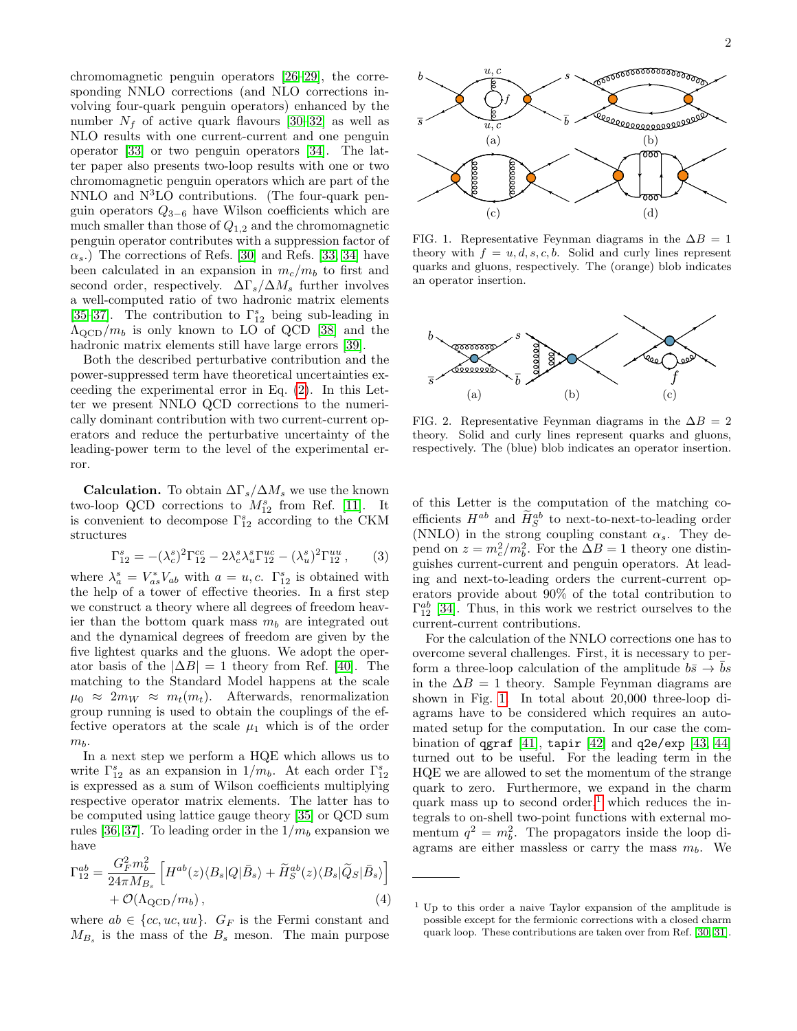chromomagnetic penguin operators [\[26–](#page-5-6)[29\]](#page-5-7), the corresponding NNLO corrections (and NLO corrections involving four-quark penguin operators) enhanced by the number  $N_f$  of active quark flavours [\[30–](#page-5-8)[32\]](#page-5-9) as well as NLO results with one current-current and one penguin operator [\[33\]](#page-5-10) or two penguin operators [\[34\]](#page-5-11). The latter paper also presents two-loop results with one or two chromomagnetic penguin operators which are part of the  $NNLO$  and  $N<sup>3</sup>LO$  contributions. (The four-quark penguin operators  $Q_{3-6}$  have Wilson coefficients which are much smaller than those of  $Q_{1,2}$  and the chromomagnetic penguin operator contributes with a suppression factor of  $\alpha_s$ .) The corrections of Refs. [\[30\]](#page-5-8) and Refs. [\[33,](#page-5-10) [34\]](#page-5-11) have been calculated in an expansion in  $m_c/m_b$  to first and second order, respectively.  $\Delta \Gamma_s / \Delta M_s$  further involves a well-computed ratio of two hadronic matrix elements [\[35–](#page-5-12)[37\]](#page-5-13). The contribution to  $\Gamma_{12}^s$  being sub-leading in  $\Lambda_{\rm QCD}/m_b$  is only known to LO of QCD [\[38\]](#page-5-14) and the hadronic matrix elements still have large errors [\[39\]](#page-5-15).

Both the described perturbative contribution and the power-suppressed term have theoretical uncertainties exceeding the experimental error in Eq. [\(2\)](#page-0-5). In this Letter we present NNLO QCD corrections to the numerically dominant contribution with two current-current operators and reduce the perturbative uncertainty of the leading-power term to the level of the experimental error.

**Calculation.** To obtain  $\Delta\Gamma_s/\Delta M_s$  we use the known two-loop QCD corrections to  $M_{12}^s$  from Ref. [\[11\]](#page-4-10). It is convenient to decompose  $\Gamma_{12}^s$  according to the CKM structures

$$
\Gamma_{12}^{s} = -(\lambda_c^{s})^2 \Gamma_{12}^{cc} - 2\lambda_c^{s} \lambda_u^{s} \Gamma_{12}^{uc} - (\lambda_u^{s})^2 \Gamma_{12}^{uu} ,\qquad(3)
$$

where  $\lambda_a^s = V_{as}^* V_{ab}$  with  $a = u, c$ .  $\Gamma_{12}^s$  is obtained with the help of a tower of effective theories. In a first step we construct a theory where all degrees of freedom heavier than the bottom quark mass  $m_b$  are integrated out and the dynamical degrees of freedom are given by the five lightest quarks and the gluons. We adopt the operator basis of the  $|\Delta B| = 1$  theory from Ref. [\[40\]](#page-5-16). The matching to the Standard Model happens at the scale  $\mu_0 \approx 2m_W \approx m_t(m_t)$ . Afterwards, renormalization group running is used to obtain the couplings of the effective operators at the scale  $\mu_1$  which is of the order  $m<sub>b</sub>$ .

In a next step we perform a HQE which allows us to write  $\Gamma_{12}^s$  as an expansion in  $1/m_b$ . At each order  $\Gamma_{12}^s$ is expressed as a sum of Wilson coefficients multiplying respective operator matrix elements. The latter has to be computed using lattice gauge theory [\[35\]](#page-5-12) or QCD sum rules [\[36,](#page-5-17) [37\]](#page-5-13). To leading order in the  $1/m_b$  expansion we have

<span id="page-1-3"></span>
$$
\Gamma_{12}^{ab} = \frac{G_F^2 m_b^2}{24\pi M_{B_s}} \left[ H^{ab}(z) \langle B_s | Q | \bar{B}_s \rangle + \tilde{H}_S^{ab}(z) \langle B_s | \tilde{Q}_S | \bar{B}_s \rangle \right] + \mathcal{O}(\Lambda_{\text{QCD}}/m_b), \tag{4}
$$

where  $ab \in \{cc, uc, uu\}$ .  $G_F$  is the Fermi constant and  $M_{B_s}$  is the mass of the  $B_s$  meson. The main purpose



<span id="page-1-0"></span>FIG. 1. Representative Feynman diagrams in the  $\Delta B = 1$ theory with  $f = u, d, s, c, b$ . Solid and curly lines represent quarks and gluons, respectively. The (orange) blob indicates an operator insertion.



<span id="page-1-2"></span>FIG. 2. Representative Feynman diagrams in the  $\Delta B = 2$ theory. Solid and curly lines represent quarks and gluons, respectively. The (blue) blob indicates an operator insertion.

of this Letter is the computation of the matching coefficients  $H^{ab}$  and  $\tilde{H}^{ab}_{S}$  to next-to-next-to-leading order (NNLO) in the strong coupling constant  $\alpha_s$ . They depend on  $z = m_c^2/m_b^2$ . For the  $\Delta B = 1$  theory one distinguishes current-current and penguin operators. At leading and next-to-leading orders the current-current operators provide about 90% of the total contribution to  $\Gamma_{12}^{ab}$  [\[34\]](#page-5-11). Thus, in this work we restrict ourselves to the current-current contributions.

For the calculation of the NNLO corrections one has to overcome several challenges. First, it is necessary to perform a three-loop calculation of the amplitude  $b\bar{s} \rightarrow \bar{b}s$ in the  $\Delta B = 1$  theory. Sample Feynman diagrams are shown in Fig. [1.](#page-1-0) In total about 20,000 three-loop diagrams have to be considered which requires an automated setup for the computation. In our case the combination of  $qgraf$  [\[41\]](#page-5-18), tapir [\[42\]](#page-5-19) and  $q2e/exp$  [\[43,](#page-5-20) [44\]](#page-6-0) turned out to be useful. For the leading term in the HQE we are allowed to set the momentum of the strange quark to zero. Furthermore, we expand in the charm quark mass up to second order,<sup>[1](#page-1-1)</sup> which reduces the integrals to on-shell two-point functions with external momentum  $q^2 = m_b^2$ . The propagators inside the loop diagrams are either massless or carry the mass  $m_b$ . We

<span id="page-1-1"></span><sup>1</sup> Up to this order a naive Taylor expansion of the amplitude is possible except for the fermionic corrections with a closed charm quark loop. These contributions are taken over from Ref. [\[30,](#page-5-8) [31\]](#page-5-21).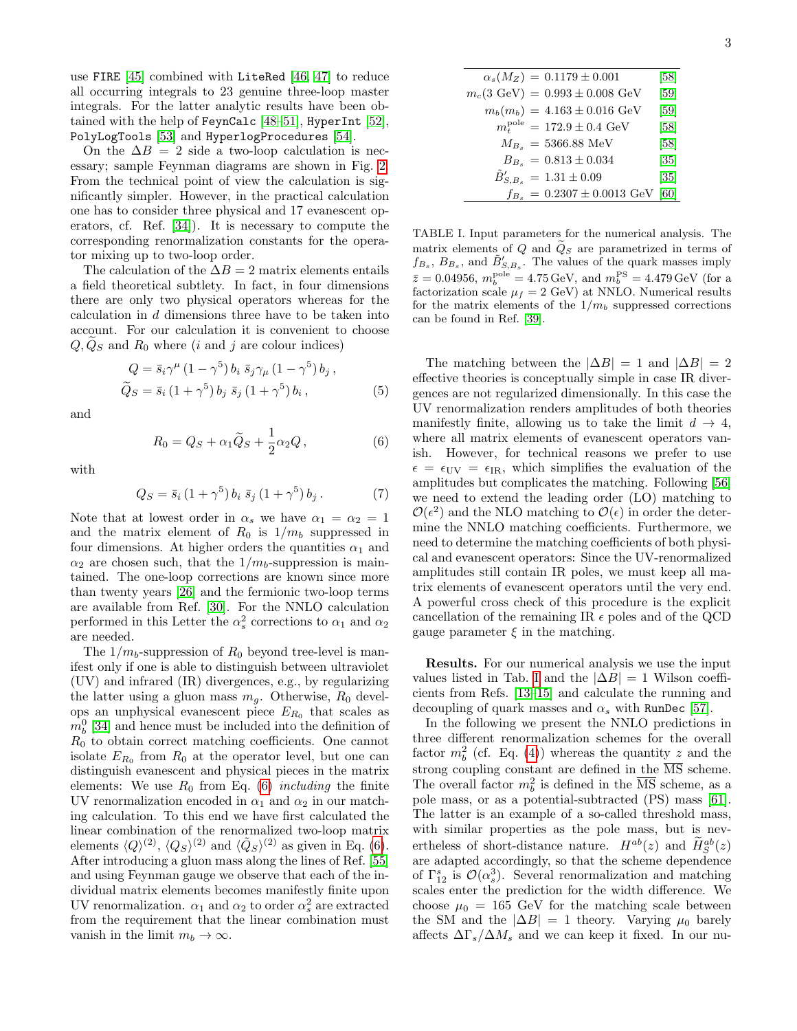use FIRE [\[45\]](#page-6-1) combined with LiteRed [\[46,](#page-6-2) [47\]](#page-6-3) to reduce all occurring integrals to 23 genuine three-loop master integrals. For the latter analytic results have been obtained with the help of FeynCalc [\[48–](#page-6-4)[51\]](#page-6-5), HyperInt [\[52\]](#page-6-6), PolyLogTools [\[53\]](#page-6-7) and HyperlogProcedures [\[54\]](#page-6-8).

On the  $\Delta B = 2$  side a two-loop calculation is necessary; sample Feynman diagrams are shown in Fig. [2.](#page-1-2) From the technical point of view the calculation is significantly simpler. However, in the practical calculation one has to consider three physical and 17 evanescent operators, cf. Ref. [\[34\]](#page-5-11)). It is necessary to compute the corresponding renormalization constants for the operator mixing up to two-loop order.

The calculation of the  $\Delta B = 2$  matrix elements entails a field theoretical subtlety. In fact, in four dimensions there are only two physical operators whereas for the calculation in d dimensions three have to be taken into account. For our calculation it is convenient to choose  $Q, Q<sub>S</sub>$  and  $R<sub>0</sub>$  where (*i* and *j* are colour indices)

$$
Q = \bar{s}_i \gamma^{\mu} (1 - \gamma^5) b_i \bar{s}_j \gamma_{\mu} (1 - \gamma^5) b_j ,
$$
  
\n
$$
\tilde{Q}_S = \bar{s}_i (1 + \gamma^5) b_j \bar{s}_j (1 + \gamma^5) b_i ,
$$
\n(5)

and

<span id="page-2-0"></span>
$$
R_0 = Q_S + \alpha_1 \tilde{Q}_S + \frac{1}{2} \alpha_2 Q, \qquad (6)
$$

with

$$
Q_S = \bar{s}_i (1 + \gamma^5) b_i \, \bar{s}_j (1 + \gamma^5) b_j \,. \tag{7}
$$

Note that at lowest order in  $\alpha_s$  we have  $\alpha_1 = \alpha_2 = 1$ and the matrix element of  $R_0$  is  $1/m_b$  suppressed in four dimensions. At higher orders the quantities  $\alpha_1$  and  $\alpha_2$  are chosen such, that the  $1/m_b$ -suppression is maintained. The one-loop corrections are known since more than twenty years [\[26\]](#page-5-6) and the fermionic two-loop terms are available from Ref. [\[30\]](#page-5-8). For the NNLO calculation performed in this Letter the  $\alpha_s^2$  corrections to  $\alpha_1$  and  $\alpha_2$ are needed.

The  $1/m_b$ -suppression of  $R_0$  beyond tree-level is manifest only if one is able to distinguish between ultraviolet (UV) and infrared (IR) divergences, e.g., by regularizing the latter using a gluon mass  $m_g$ . Otherwise,  $R_0$  develops an unphysical evanescent piece  $E_{R_0}$  that scales as  $m_b^0$  [\[34\]](#page-5-11) and hence must be included into the definition of  $R_0$  to obtain correct matching coefficients. One cannot isolate  $E_{R_0}$  from  $R_0$  at the operator level, but one can distinguish evanescent and physical pieces in the matrix elements: We use  $R_0$  from Eq. [\(6\)](#page-2-0) including the finite UV renormalization encoded in  $\alpha_1$  and  $\alpha_2$  in our matching calculation. To this end we have first calculated the linear combination of the renormalized two-loop matrix elements  $\langle Q \rangle^{(2)}$ ,  $\langle Q_S \rangle^{(2)}$  and  $\langle \tilde{Q}_S \rangle^{(2)}$  as given in Eq. [\(6\)](#page-2-0). After introducing a gluon mass along the lines of Ref. [\[55\]](#page-6-9) and using Feynman gauge we observe that each of the individual matrix elements becomes manifestly finite upon UV renormalization.  $\alpha_1$  and  $\alpha_2$  to order  $\alpha_s^2$  are extracted from the requirement that the linear combination must vanish in the limit  $m_b \to \infty$ .

| $\alpha_s(M_Z) = 0.1179 \pm 0.001$                 | [58]              |
|----------------------------------------------------|-------------------|
| $m_c(3 \text{ GeV}) = 0.993 \pm 0.008 \text{ GeV}$ | [59]              |
| $m_b(m_b) = 4.163 \pm 0.016 \text{ GeV}$           | $[59]$            |
| $m_{\rm t}^{\rm pole} = 172.9 \pm 0.4~{\rm GeV}$   | [58]              |
| $M_{B_s} = 5366.88$ MeV                            | [58]              |
| $B_{B_s} = 0.813 \pm 0.034$                        | $\left[35\right]$ |
| $\tilde{B}_{S.B.}^{\prime} = 1.31 \pm 0.09$        | [35]              |
| $f_{B_s} = 0.2307 \pm 0.0013$ GeV [60]             |                   |

<span id="page-2-1"></span>TABLE I. Input parameters for the numerical analysis. The matrix elements of  $Q$  and  $\tilde{Q}_S$  are parametrized in terms of  $f_{B_s}, B_{B_s}$ , and  $\tilde{B}'_{S,B_s}$ . The values of the quark masses imply  $\bar{z} = 0.04956$ ,  $m_b^{\text{pole}} = 4.75 \,\text{GeV}$ , and  $m_b^{\text{PS}} = 4.479 \,\text{GeV}$  (for a factorization scale  $\mu_f = 2$  GeV) at NNLO. Numerical results for the matrix elements of the  $1/m_b$  suppressed corrections can be found in Ref. [\[39\]](#page-5-15).

The matching between the  $|\Delta B| = 1$  and  $|\Delta B| = 2$ effective theories is conceptually simple in case IR divergences are not regularized dimensionally. In this case the UV renormalization renders amplitudes of both theories manifestly finite, allowing us to take the limit  $d \rightarrow 4$ , where all matrix elements of evanescent operators vanish. However, for technical reasons we prefer to use  $\epsilon = \epsilon_{UV} = \epsilon_{IR}$ , which simplifies the evaluation of the amplitudes but complicates the matching. Following [\[56\]](#page-6-13) we need to extend the leading order (LO) matching to  $\mathcal{O}(\epsilon^2)$  and the NLO matching to  $\mathcal{O}(\epsilon)$  in order the determine the NNLO matching coefficients. Furthermore, we need to determine the matching coefficients of both physical and evanescent operators: Since the UV-renormalized amplitudes still contain IR poles, we must keep all matrix elements of evanescent operators until the very end. A powerful cross check of this procedure is the explicit cancellation of the remaining IR  $\epsilon$  poles and of the QCD gauge parameter  $\xi$  in the matching.

Results. For our numerical analysis we use the input values listed in Tab. [I](#page-2-1) and the  $|\Delta B| = 1$  Wilson coefficients from Refs. [\[13–](#page-5-1)[15\]](#page-5-2) and calculate the running and decoupling of quark masses and  $\alpha_s$  with RunDec [\[57\]](#page-6-14).

In the following we present the NNLO predictions in three different renormalization schemes for the overall factor  $m_b^2$  (cf. Eq. [\(4\)](#page-1-3)) whereas the quantity z and the strong coupling constant are defined in the  $\overline{\text{MS}}$  scheme. The overall factor  $m_b^2$  is defined in the  $\overline{\text{MS}}$  scheme, as a pole mass, or as a potential-subtracted (PS) mass [\[61\]](#page-6-15). The latter is an example of a so-called threshold mass, with similar properties as the pole mass, but is nevertheless of short-distance nature.  $H^{ab}(z)$  and  $\widetilde{H}^{ab}_{S}(z)$ are adapted accordingly, so that the scheme dependence of  $\Gamma_{12}^s$  is  $\mathcal{O}(\alpha_s^3)$ . Several renormalization and matching scales enter the prediction for the width difference. We choose  $\mu_0 = 165$  GeV for the matching scale between the SM and the  $|\Delta B| = 1$  theory. Varying  $\mu_0$  barely affects  $\Delta \Gamma_s / \Delta M_s$  and we can keep it fixed. In our nu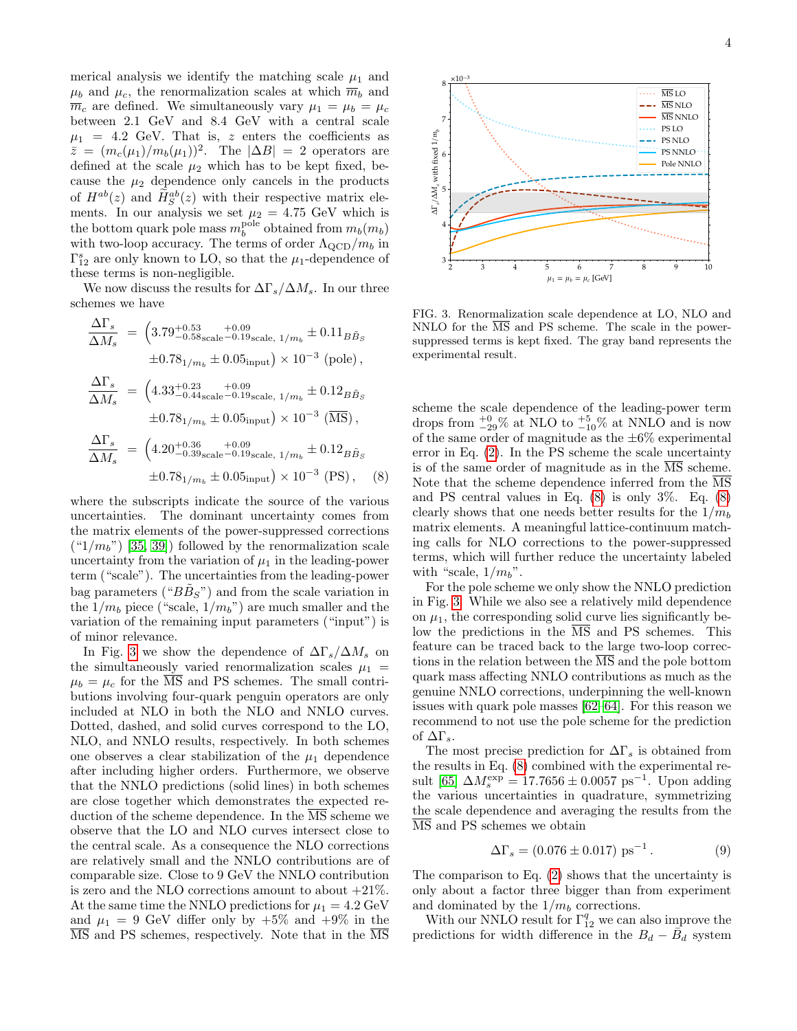merical analysis we identify the matching scale  $\mu_1$  and  $\mu_b$  and  $\mu_c$ , the renormalization scales at which  $\overline{m}_b$  and  $\overline{m}_c$  are defined. We simultaneously vary  $\mu_1 = \mu_b = \mu_c$ between 2.1 GeV and 8.4 GeV with a central scale  $\mu_1$  = 4.2 GeV. That is, z enters the coefficients as  $\bar{z} = (m_c(\mu_1)/m_b(\mu_1))^2$ . The  $|\Delta B| = 2$  operators are defined at the scale  $\mu_2$  which has to be kept fixed, because the  $\mu_2$  dependence only cancels in the products of  $H^{ab}(z)$  and  $\widetilde{H}^{ab}_{S}(z)$  with their respective matrix elements. In our analysis we set  $\mu_2 = 4.75$  GeV which is the bottom quark pole mass  $m_b^{\text{pole}}$  obtained from  $m_b(m_b)$ with two-loop accuracy. The terms of order  $\Lambda_{\rm QCD}/m_b$  in  $\Gamma_{12}^s$  are only known to LO, so that the  $\mu_1$ -dependence of these terms is non-negligible.

We now discuss the results for  $\Delta \Gamma_s / \Delta M_s$ . In our three schemes we have

$$
\frac{\Delta\Gamma_s}{\Delta M_s} = \left(3.79^{+0.53}_{-0.58\text{scale}}\substack{+0.09\\-0.19\text{scale}, 1/m_b} \pm 0.11_B\tilde{B}_S\right.\n\left.\pm 0.78_{1/m_b} \pm 0.05_{\text{input}}\right) \times 10^{-3} \text{ (pole)},
$$
\n
$$
\frac{\Delta\Gamma_s}{\Delta M_s} = \left(4.33^{+0.23}_{-0.44\text{scale}}\substack{+0.09\\-0.19\text{scale}, 1/m_b} \pm 0.12_B\tilde{B}_S\right.\n\left.\pm 0.78_{1/m_b} \pm 0.05_{\text{input}}\right) \times 10^{-3} \text{ (}\overline{\text{MS}}\text{)},
$$
\n
$$
\frac{\Delta\Gamma_s}{\Delta M_s} = \left(4.20^{+0.36}_{-0.39\text{scale}}\substack{+0.09\\-0.19\text{scale}, 1/m_b} \pm 0.12_B\tilde{B}_S\right.\n\left.\pm 0.78_{1/m_b} \pm 0.05_{\text{input}}\right) \times 10^{-3} \text{ (PS)}, \quad (8)
$$

where the subscripts indicate the source of the various uncertainties. The dominant uncertainty comes from the matrix elements of the power-suppressed corrections  $({}^{\omega}1/m_b"$  [\[35,](#page-5-12) [39\]](#page-5-15)) followed by the renormalization scale uncertainty from the variation of  $\mu_1$  in the leading-power term ("scale"). The uncertainties from the leading-power bag parameters (" $B\tilde{B}_S$ ") and from the scale variation in the  $1/m_b$  piece ("scale,  $1/m_b$ ") are much smaller and the variation of the remaining input parameters ("input") is of minor relevance.

In Fig. [3](#page-3-0) we show the dependence of  $\Delta \Gamma_s / \Delta M_s$  on the simultaneously varied renormalization scales  $\mu_1$  =  $\mu_b = \mu_c$  for the  $\overline{\text{MS}}$  and PS schemes. The small contributions involving four-quark penguin operators are only included at NLO in both the NLO and NNLO curves. Dotted, dashed, and solid curves correspond to the LO, NLO, and NNLO results, respectively. In both schemes one observes a clear stabilization of the  $\mu_1$  dependence after including higher orders. Furthermore, we observe that the NNLO predictions (solid lines) in both schemes are close together which demonstrates the expected reduction of the scheme dependence. In the  $\overline{\text{MS}}$  scheme we observe that the LO and NLO curves intersect close to the central scale. As a consequence the NLO corrections are relatively small and the NNLO contributions are of comparable size. Close to 9 GeV the NNLO contribution is zero and the NLO corrections amount to about  $+21\%$ . At the same time the NNLO predictions for  $\mu_1 = 4.2 \text{ GeV}$ and  $\mu_1 = 9$  GeV differ only by  $+5\%$  and  $+9\%$  in the  $\overline{\text{MS}}$  and PS schemes, respectively. Note that in the  $\overline{\text{MS}}$ 



4



<span id="page-3-0"></span>FIG. 3. Renormalization scale dependence at LO, NLO and NNLO for the  $\overline{\text{MS}}$  and PS scheme. The scale in the powersuppressed terms is kept fixed. The gray band represents the experimental result.

<span id="page-3-1"></span>scheme the scale dependence of the leading-power term drops from  $_{-29}^{+0}\%$  at NLO to  $_{-10}^{+5}\%$  at NNLO and is now of the same order of magnitude as the  $\pm 6\%$  experimental error in Eq. [\(2\)](#page-0-5). In the PS scheme the scale uncertainty is of the same order of magnitude as in the  $\overline{\text{MS}}$  scheme. Note that the scheme dependence inferred from the MS and PS central values in Eq. [\(8\)](#page-3-1) is only 3%. Eq. [\(8\)](#page-3-1) clearly shows that one needs better results for the  $1/m_b$ matrix elements. A meaningful lattice-continuum matching calls for NLO corrections to the power-suppressed terms, which will further reduce the uncertainty labeled with "scale,  $1/m_b$ ".

For the pole scheme we only show the NNLO prediction in Fig. [3.](#page-3-0) While we also see a relatively mild dependence on  $\mu_1$ , the corresponding solid curve lies significantly below the predictions in the  $\overline{\text{MS}}$  and PS schemes. This feature can be traced back to the large two-loop corrections in the relation between the MS and the pole bottom quark mass affecting NNLO contributions as much as the genuine NNLO corrections, underpinning the well-known issues with quark pole masses [\[62–](#page-6-16)[64\]](#page-6-17). For this reason we recommend to not use the pole scheme for the prediction of  $\Delta\Gamma_s$ .

The most precise prediction for  $\Delta\Gamma_s$  is obtained from the results in Eq. [\(8\)](#page-3-1) combined with the experimental re-sult [\[65\]](#page-6-18)  $\Delta M_s^{\text{exp}} = 17.7656 \pm 0.0057 \text{ ps}^{-1}$ . Upon adding the various uncertainties in quadrature, symmetrizing the scale dependence and averaging the results from the MS and PS schemes we obtain

$$
\Delta\Gamma_s = (0.076 \pm 0.017) \text{ ps}^{-1}. \tag{9}
$$

The comparison to Eq. [\(2\)](#page-0-5) shows that the uncertainty is only about a factor three bigger than from experiment and dominated by the  $1/m_b$  corrections.

With our NNLO result for  $\Gamma_{12}^q$  we can also improve the predictions for width difference in the  $B_d - \vec{B_d}$  system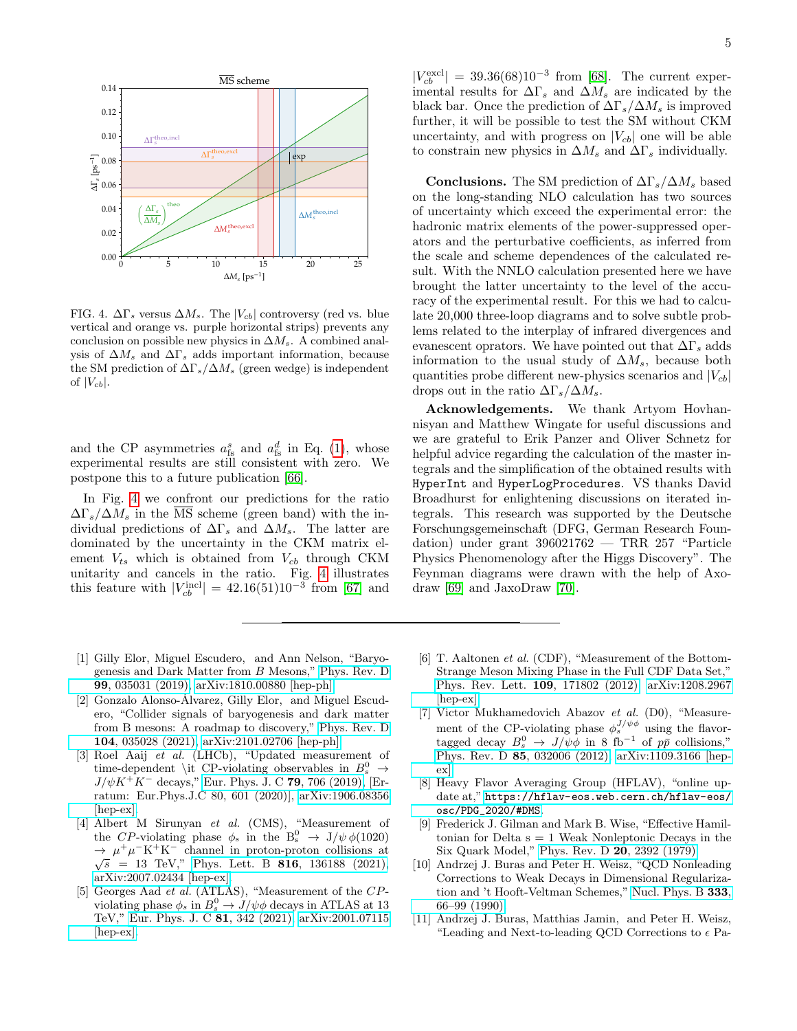

<span id="page-4-11"></span>FIG. 4.  $\Delta\Gamma_s$  versus  $\Delta M_s$ . The  $|V_{cb}|$  controversy (red vs. blue vertical and orange vs. purple horizontal strips) prevents any conclusion on possible new physics in  $\Delta M_s$ . A combined analysis of  $\Delta M_s$  and  $\Delta \Gamma_s$  adds important information, because the SM prediction of  $\Delta \Gamma_s / \Delta M_s$  (green wedge) is independent of  $|V_{cb}|$ .

and the CP asymmetries  $a_{fs}^s$  and  $a_{fs}^d$  in Eq. [\(1\)](#page-0-4), whose experimental results are still consistent with zero. We postpone this to a future publication [\[66\]](#page-6-19).

In Fig. [4](#page-4-11) we confront our predictions for the ratio  $\Delta\Gamma_s/\Delta M_s$  in the  $\overline{\text{MS}}$  scheme (green band) with the individual predictions of  $\Delta\Gamma_s$  and  $\Delta M_s$ . The latter are dominated by the uncertainty in the CKM matrix element  $V_{ts}$  which is obtained from  $V_{cb}$  through CKM unitarity and cancels in the ratio. Fig. [4](#page-4-11) illustrates this feature with  $|V_{cb}^{\text{incl}}| = 42.16(51)10^{-3}$  from [\[67\]](#page-6-20) and

 $|V_{cb}^{\text{excl}}| = 39.36(68)10^{-3}$  from [\[68\]](#page-6-21). The current experimental results for  $\Delta\Gamma_s$  and  $\Delta M_s$  are indicated by the black bar. Once the prediction of  $\Delta \Gamma_s / \Delta M_s$  is improved further, it will be possible to test the SM without CKM uncertainty, and with progress on  $|V_{cb}|$  one will be able to constrain new physics in  $\Delta M_s$  and  $\Delta \Gamma_s$  individually.

**Conclusions.** The SM prediction of  $\Delta\Gamma_s/\Delta M_s$  based on the long-standing NLO calculation has two sources of uncertainty which exceed the experimental error: the hadronic matrix elements of the power-suppressed operators and the perturbative coefficients, as inferred from the scale and scheme dependences of the calculated result. With the NNLO calculation presented here we have brought the latter uncertainty to the level of the accuracy of the experimental result. For this we had to calculate 20,000 three-loop diagrams and to solve subtle problems related to the interplay of infrared divergences and evanescent oprators. We have pointed out that  $\Delta\Gamma_s$  adds information to the usual study of  $\Delta M_s$ , because both quantities probe different new-physics scenarios and  $|V_{cb}|$ drops out in the ratio  $\Delta \Gamma_s / \Delta M_s$ .

Acknowledgements. We thank Artyom Hovhannisyan and Matthew Wingate for useful discussions and we are grateful to Erik Panzer and Oliver Schnetz for helpful advice regarding the calculation of the master integrals and the simplification of the obtained results with HyperInt and HyperLogProcedures. VS thanks David Broadhurst for enlightening discussions on iterated integrals. This research was supported by the Deutsche Forschungsgemeinschaft (DFG, German Research Foundation) under grant 396021762 — TRR 257 "Particle Physics Phenomenology after the Higgs Discovery". The Feynman diagrams were drawn with the help of Axodraw [\[69\]](#page-6-22) and JaxoDraw [\[70\]](#page-6-23).

- <span id="page-4-0"></span>[1] Gilly Elor, Miguel Escudero, and Ann Nelson, "Baryogenesis and Dark Matter from B Mesons," [Phys. Rev. D](http://dx.doi.org/10.1103/PhysRevD.99.035031) 99[, 035031 \(2019\),](http://dx.doi.org/10.1103/PhysRevD.99.035031) [arXiv:1810.00880 \[hep-ph\].](http://arxiv.org/abs/1810.00880)
- <span id="page-4-1"></span>[2] Gonzalo Alonso-Álvarez, Gilly Elor, and Miguel Escudero, "Collider signals of baryogenesis and dark matter from B mesons: A roadmap to discovery," [Phys. Rev. D](http://dx.doi.org/10.1103/PhysRevD.104.035028) 104[, 035028 \(2021\),](http://dx.doi.org/10.1103/PhysRevD.104.035028) [arXiv:2101.02706 \[hep-ph\].](http://arxiv.org/abs/2101.02706)
- <span id="page-4-2"></span>[3] Roel Aaij et al. (LHCb), "Updated measurement of time-dependent \it CP-violating observables in  $B_s^0 \rightarrow$  $J/\psi K^{+}K^{-}$  decays," [Eur. Phys. J. C](http://dx.doi.org/10.1140/epjc/s10052-019-7159-8) 79, 706 (2019), [Erratum: Eur.Phys.J.C 80, 601 (2020)], [arXiv:1906.08356](http://arxiv.org/abs/1906.08356) [\[hep-ex\].](http://arxiv.org/abs/1906.08356)
- <span id="page-4-3"></span>[4] Albert M Sirunyan et al. (CMS), "Measurement of the CP-violating phase  $\phi_s$  in the  $B_s^0 \rightarrow J/\psi \phi(1020)$  $\rightarrow \mu^+ \mu^- \text{K}^+ \text{K}^-$  channel in proton-proton collisions at  $\sqrt{s}$  = 13 TeV," Phys. Lett. B **816**[, 136188 \(2021\),](http://dx.doi.org/10.1016/j.physletb.2021.136188) [arXiv:2007.02434 \[hep-ex\].](http://arxiv.org/abs/2007.02434)
- <span id="page-4-4"></span>[5] Georges Aad et al. (ATLAS), "Measurement of the CPviolating phase  $\phi_s$  in  $B_s^0 \to J/\psi \phi$  decays in ATLAS at 13 TeV," [Eur. Phys. J. C](http://dx.doi.org/10.1140/epjc/s10052-021-09011-0) 81, 342 (2021), [arXiv:2001.07115](http://arxiv.org/abs/2001.07115) [\[hep-ex\].](http://arxiv.org/abs/2001.07115)
- <span id="page-4-5"></span>[6] T. Aaltonen et al. (CDF), "Measurement of the Bottom-Strange Meson Mixing Phase in the Full CDF Data Set," [Phys. Rev. Lett.](http://dx.doi.org/ 10.1103/PhysRevLett.109.171802) 109, 171802 (2012), [arXiv:1208.2967](http://arxiv.org/abs/1208.2967) [\[hep-ex\].](http://arxiv.org/abs/1208.2967)
- <span id="page-4-6"></span>[7] Victor Mukhamedovich Abazov et al. (D0), "Measurement of the CP-violating phase  $\phi_s^{J/\psi \phi}$  using the flavortagged decay  $B_s^0 \to J/\psi \phi$  in 8 fb<sup>-1</sup> of  $p\bar{p}$  collisions," Phys. Rev. D 85[, 032006 \(2012\),](http://dx.doi.org/10.1103/PhysRevD.85.032006) [arXiv:1109.3166 \[hep](http://arxiv.org/abs/1109.3166)[ex\].](http://arxiv.org/abs/1109.3166)
- <span id="page-4-7"></span>[8] Heavy Flavor Averaging Group (HFLAV), "online update at," [https://hflav-eos.web.cern.ch/hflav-eos/](https://hflav-eos.web.cern.ch/hflav-eos/osc/PDG_2020/# DMS) [osc/PDG\\_2020/#DMS](https://hflav-eos.web.cern.ch/hflav-eos/osc/PDG_2020/# DMS).
- <span id="page-4-8"></span>[9] Frederick J. Gilman and Mark B. Wise, "Effective Hamiltonian for Delta  $s = 1$  Weak Nonleptonic Decays in the Six Quark Model," [Phys. Rev. D](http://dx.doi.org/10.1103/PhysRevD.20.2392) 20, 2392 (1979).
- <span id="page-4-9"></span>[10] Andrzej J. Buras and Peter H. Weisz, "QCD Nonleading Corrections to Weak Decays in Dimensional Regularization and 't Hooft-Veltman Schemes," [Nucl. Phys. B](http://dx.doi.org/10.1016/0550-3213(90)90223-Z) 333, [66–99 \(1990\).](http://dx.doi.org/10.1016/0550-3213(90)90223-Z)
- <span id="page-4-10"></span>[11] Andrzej J. Buras, Matthias Jamin, and Peter H. Weisz, "Leading and Next-to-leading QCD Corrections to  $\epsilon$  Pa-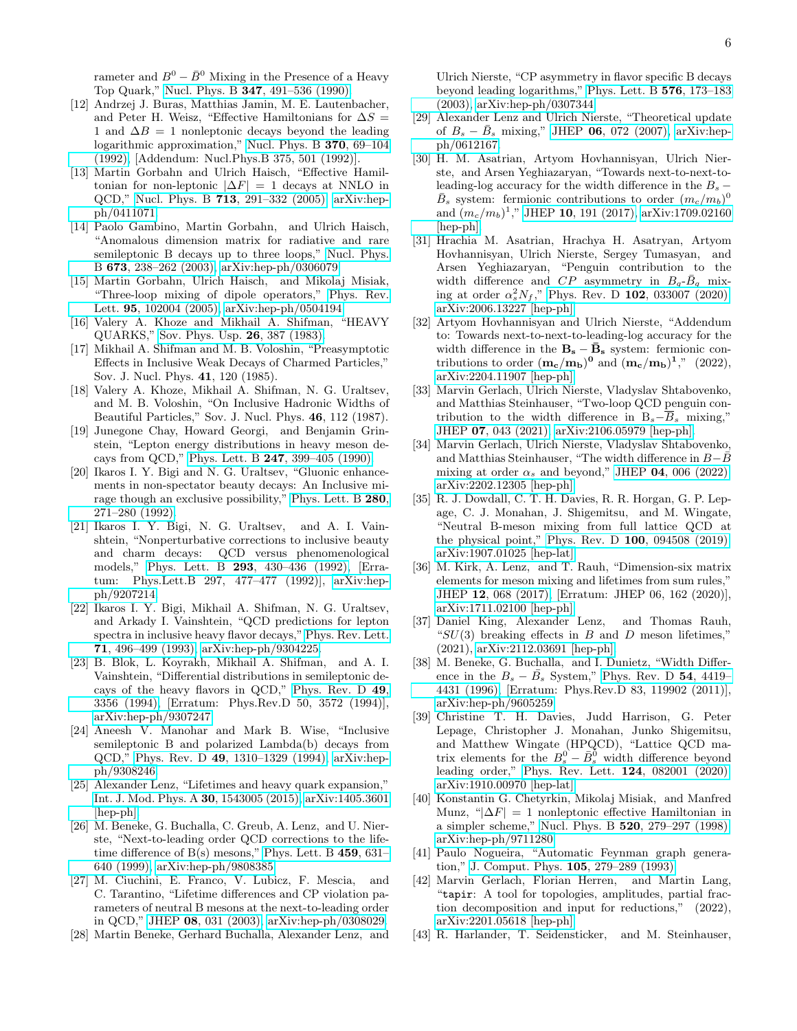rameter and  $B^0 - \bar{B}^0$  Mixing in the Presence of a Heavy Top Quark," Nucl. Phys. B 347[, 491–536 \(1990\).](http://dx.doi.org/10.1016/0550-3213(90)90373-L)

- <span id="page-5-0"></span>[12] Andrzej J. Buras, Matthias Jamin, M. E. Lautenbacher, and Peter H. Weisz, "Effective Hamiltonians for  $\Delta S =$ 1 and  $\Delta B = 1$  nonleptonic decays beyond the leading logarithmic approximation," [Nucl. Phys. B](http://dx.doi.org/ 10.1016/0550-3213(92)90345-C) 370, 69–104 [\(1992\),](http://dx.doi.org/ 10.1016/0550-3213(92)90345-C) [Addendum: Nucl.Phys.B 375, 501 (1992)].
- <span id="page-5-1"></span>[13] Martin Gorbahn and Ulrich Haisch, "Effective Hamiltonian for non-leptonic  $|\Delta F| = 1$  decays at NNLO in QCD," Nucl. Phys. B 713[, 291–332 \(2005\),](http://dx.doi.org/10.1016/j.nuclphysb.2005.01.047) [arXiv:hep](http://arxiv.org/abs/hep-ph/0411071)[ph/0411071.](http://arxiv.org/abs/hep-ph/0411071)
- [14] Paolo Gambino, Martin Gorbahn, and Ulrich Haisch, "Anomalous dimension matrix for radiative and rare semileptonic B decays up to three loops," [Nucl. Phys.](http://dx.doi.org/10.1016/j.nuclphysb.2003.09.024) B 673[, 238–262 \(2003\),](http://dx.doi.org/10.1016/j.nuclphysb.2003.09.024) [arXiv:hep-ph/0306079.](http://arxiv.org/abs/hep-ph/0306079)
- <span id="page-5-2"></span>[15] Martin Gorbahn, Ulrich Haisch, and Mikolaj Misiak, "Three-loop mixing of dipole operators," [Phys. Rev.](http://dx.doi.org/ 10.1103/PhysRevLett.95.102004) Lett. 95[, 102004 \(2005\),](http://dx.doi.org/ 10.1103/PhysRevLett.95.102004) [arXiv:hep-ph/0504194.](http://arxiv.org/abs/hep-ph/0504194)
- <span id="page-5-3"></span>[16] Valery A. Khoze and Mikhail A. Shifman, "HEAVY QUARKS," [Sov. Phys. Usp.](http://dx.doi.org/10.1070/PU1983v026n05ABEH004398) 26, 387 (1983).
- [17] Mikhail A. Shifman and M. B. Voloshin, "Preasymptotic Effects in Inclusive Weak Decays of Charmed Particles," Sov. J. Nucl. Phys. 41, 120 (1985).
- [18] Valery A. Khoze, Mikhail A. Shifman, N. G. Uraltsev, and M. B. Voloshin, "On Inclusive Hadronic Widths of Beautiful Particles," Sov. J. Nucl. Phys. 46, 112 (1987).
- [19] Junegone Chay, Howard Georgi, and Benjamin Grinstein, "Lepton energy distributions in heavy meson decays from QCD," Phys. Lett. B 247[, 399–405 \(1990\).](http://dx.doi.org/ 10.1016/0370-2693(90)90916-T)
- [20] Ikaros I. Y. Bigi and N. G. Uraltsev, "Gluonic enhancements in non-spectator beauty decays: An Inclusive mirage though an exclusive possibility," [Phys. Lett. B](http://dx.doi.org/ 10.1016/0370-2693(92)90066-D) 280, [271–280 \(1992\).](http://dx.doi.org/ 10.1016/0370-2693(92)90066-D)
- [21] Ikaros I. Y. Bigi, N. G. Uraltsev, and A. I. Vainshtein, "Nonperturbative corrections to inclusive beauty and charm decays: QCD versus phenomenological models," Phys. Lett. B 293[, 430–436 \(1992\),](http://dx.doi.org/ 10.1016/0370-2693(92)90908-M) [Erratum: Phys.Lett.B 297, 477–477 (1992)], [arXiv:hep](http://arxiv.org/abs/hep-ph/9207214)[ph/9207214.](http://arxiv.org/abs/hep-ph/9207214)
- [22] Ikaros I. Y. Bigi, Mikhail A. Shifman, N. G. Uraltsev, and Arkady I. Vainshtein, "QCD predictions for lepton spectra in inclusive heavy flavor decays," [Phys. Rev. Lett.](http://dx.doi.org/10.1103/PhysRevLett.71.496) 71[, 496–499 \(1993\),](http://dx.doi.org/10.1103/PhysRevLett.71.496) [arXiv:hep-ph/9304225.](http://arxiv.org/abs/hep-ph/9304225)
- [23] B. Blok, L. Koyrakh, Mikhail A. Shifman, and A. I. Vainshtein, "Differential distributions in semileptonic decays of the heavy flavors in QCD," [Phys. Rev. D](http://dx.doi.org/ 10.1103/PhysRevD.50.3572) 49, [3356 \(1994\),](http://dx.doi.org/ 10.1103/PhysRevD.50.3572) [Erratum: Phys.Rev.D 50, 3572 (1994)], [arXiv:hep-ph/9307247.](http://arxiv.org/abs/hep-ph/9307247)
- <span id="page-5-4"></span>[24] Aneesh V. Manohar and Mark B. Wise, "Inclusive semileptonic B and polarized Lambda(b) decays from QCD," Phys. Rev. D 49[, 1310–1329 \(1994\),](http://dx.doi.org/10.1103/PhysRevD.49.1310) [arXiv:hep](http://arxiv.org/abs/hep-ph/9308246)[ph/9308246.](http://arxiv.org/abs/hep-ph/9308246)
- <span id="page-5-5"></span>[25] Alexander Lenz, "Lifetimes and heavy quark expansion," [Int. J. Mod. Phys. A](http://dx.doi.org/ 10.1142/S0217751X15430058) 30, 1543005 (2015), [arXiv:1405.3601](http://arxiv.org/abs/1405.3601) [\[hep-ph\].](http://arxiv.org/abs/1405.3601)
- <span id="page-5-6"></span>[26] M. Beneke, G. Buchalla, C. Greub, A. Lenz, and U. Nierste, "Next-to-leading order QCD corrections to the lifetime difference of  $B(s)$  mesons," [Phys. Lett. B](http://dx.doi.org/ 10.1016/S0370-2693(99)00684-X)  $459, 631-$ [640 \(1999\),](http://dx.doi.org/ 10.1016/S0370-2693(99)00684-X) [arXiv:hep-ph/9808385.](http://arxiv.org/abs/hep-ph/9808385)
- [27] M. Ciuchini, E. Franco, V. Lubicz, F. Mescia, and C. Tarantino, "Lifetime differences and CP violation parameters of neutral B mesons at the next-to-leading order in QCD," JHEP 08[, 031 \(2003\),](http://dx.doi.org/ 10.1088/1126-6708/2003/08/031) [arXiv:hep-ph/0308029.](http://arxiv.org/abs/hep-ph/0308029)
- [28] Martin Beneke, Gerhard Buchalla, Alexander Lenz, and

Ulrich Nierste, "CP asymmetry in flavor specific B decays beyond leading logarithms," [Phys. Lett. B](http://dx.doi.org/ 10.1016/j.physletb.2003.09.089) 576, 173–183 [\(2003\),](http://dx.doi.org/ 10.1016/j.physletb.2003.09.089) [arXiv:hep-ph/0307344.](http://arxiv.org/abs/hep-ph/0307344)

- <span id="page-5-7"></span>[29] Alexander Lenz and Ulrich Nierste, "Theoretical update of  $B_s - \bar{B}_s$  mixing," JHEP 06[, 072 \(2007\),](http://dx.doi.org/ 10.1088/1126-6708/2007/06/072) [arXiv:hep](http://arxiv.org/abs/hep-ph/0612167)[ph/0612167.](http://arxiv.org/abs/hep-ph/0612167)
- <span id="page-5-8"></span>[30] H. M. Asatrian, Artyom Hovhannisyan, Ulrich Nierste, and Arsen Yeghiazaryan, "Towards next-to-next-toleading-log accuracy for the width difference in the  $B_s$  –  $\bar{B}_s$  system: fermionic contributions to order  $(m_c/m_b)^0$ and  $(m_c/m_b)^1$ ," JHEP 10[, 191 \(2017\),](http://dx.doi.org/10.1007/JHEP10(2017)191) [arXiv:1709.02160](http://arxiv.org/abs/1709.02160) [\[hep-ph\].](http://arxiv.org/abs/1709.02160)
- <span id="page-5-21"></span>[31] Hrachia M. Asatrian, Hrachya H. Asatryan, Artyom Hovhannisyan, Ulrich Nierste, Sergey Tumasyan, and Arsen Yeghiazaryan, "Penguin contribution to the width difference and  $CP$  asymmetry in  $B_q$ - $\bar{B}_q$  mixing at order  $\alpha_s^2 N_f$ ," Phys. Rev. D 102[, 033007 \(2020\),](http://dx.doi.org/ 10.1103/PhysRevD.102.033007) [arXiv:2006.13227 \[hep-ph\].](http://arxiv.org/abs/2006.13227)
- <span id="page-5-9"></span>[32] Artyom Hovhannisyan and Ulrich Nierste, "Addendum to: Towards next-to-next-to-leading-log accuracy for the width difference in the  $B_s - \bar{B}_s$  system: fermionic contributions to order  $(m_c/m_b)^0$  and  $(m_c/m_b)^1$ ," (2022), [arXiv:2204.11907 \[hep-ph\].](http://arxiv.org/abs/2204.11907)
- <span id="page-5-10"></span>[33] Marvin Gerlach, Ulrich Nierste, Vladyslav Shtabovenko, and Matthias Steinhauser, "Two-loop QCD penguin contribution to the width difference in  $B_s-\overline{B}_s$  mixing," JHEP 07[, 043 \(2021\),](http://dx.doi.org/ 10.1007/JHEP07(2021)043) [arXiv:2106.05979 \[hep-ph\].](http://arxiv.org/abs/2106.05979)
- <span id="page-5-11"></span>[34] Marvin Gerlach, Ulrich Nierste, Vladyslav Shtabovenko, and Matthias Steinhauser, "The width difference in  $B-\bar{B}$ mixing at order  $\alpha_s$  and beyond," JHEP 04[, 006 \(2022\),](http://dx.doi.org/10.1007/JHEP04(2022)006) [arXiv:2202.12305 \[hep-ph\].](http://arxiv.org/abs/2202.12305)
- <span id="page-5-12"></span>[35] R. J. Dowdall, C. T. H. Davies, R. R. Horgan, G. P. Lepage, C. J. Monahan, J. Shigemitsu, and M. Wingate, "Neutral B-meson mixing from full lattice QCD at the physical point," Phys. Rev. D 100[, 094508 \(2019\),](http://dx.doi.org/10.1103/PhysRevD.100.094508) [arXiv:1907.01025 \[hep-lat\].](http://arxiv.org/abs/1907.01025)
- <span id="page-5-17"></span>[36] M. Kirk, A. Lenz, and T. Rauh, "Dimension-six matrix elements for meson mixing and lifetimes from sum rules," JHEP 12[, 068 \(2017\),](http://dx.doi.org/ 10.1007/JHEP12(2017)068) [Erratum: JHEP 06, 162 (2020)], [arXiv:1711.02100 \[hep-ph\].](http://arxiv.org/abs/1711.02100)
- <span id="page-5-13"></span>[37] Daniel King, Alexander Lenz, and Thomas Rauh, " $SU(3)$  breaking effects in B and D meson lifetimes," (2021), [arXiv:2112.03691 \[hep-ph\].](http://arxiv.org/abs/2112.03691)
- <span id="page-5-14"></span>[38] M. Beneke, G. Buchalla, and I. Dunietz, "Width Difference in the  $B_s - \bar{B_s}$  System," [Phys. Rev. D](http://dx.doi.org/10.1103/PhysRevD.54.4419) 54, 4419– [4431 \(1996\),](http://dx.doi.org/10.1103/PhysRevD.54.4419) [Erratum: Phys.Rev.D 83, 119902 (2011)], [arXiv:hep-ph/9605259.](http://arxiv.org/abs/hep-ph/9605259)
- <span id="page-5-15"></span>[39] Christine T. H. Davies, Judd Harrison, G. Peter Lepage, Christopher J. Monahan, Junko Shigemitsu, and Matthew Wingate (HPQCD), "Lattice QCD matrix elements for the  $B_s^0 - \bar{B}_s^0$  width difference beyond leading order," [Phys. Rev. Lett.](http://dx.doi.org/10.1103/PhysRevLett.124.082001) 124, 082001 (2020), [arXiv:1910.00970 \[hep-lat\].](http://arxiv.org/abs/1910.00970)
- <span id="page-5-16"></span>[40] Konstantin G. Chetyrkin, Mikolaj Misiak, and Manfred Munz, " $|\Delta F| = 1$  nonleptonic effective Hamiltonian in a simpler scheme," Nucl. Phys. B 520[, 279–297 \(1998\),](http://dx.doi.org/10.1016/S0550-3213(98)00131-X) [arXiv:hep-ph/9711280.](http://arxiv.org/abs/hep-ph/9711280)
- <span id="page-5-18"></span>[41] Paulo Nogueira, "Automatic Feynman graph generation," [J. Comput. Phys.](http://dx.doi.org/10.1006/jcph.1993.1074) 105, 279–289 (1993).
- <span id="page-5-19"></span>[42] Marvin Gerlach, Florian Herren, and Martin Lang, "tapir: A tool for topologies, amplitudes, partial frac-<br>tion decomposition and input for reductions," (2022), tion decomposition and input for reductions," [arXiv:2201.05618 \[hep-ph\].](http://arxiv.org/abs/2201.05618)
- <span id="page-5-20"></span>[43] R. Harlander, T. Seidensticker, and M. Steinhauser,